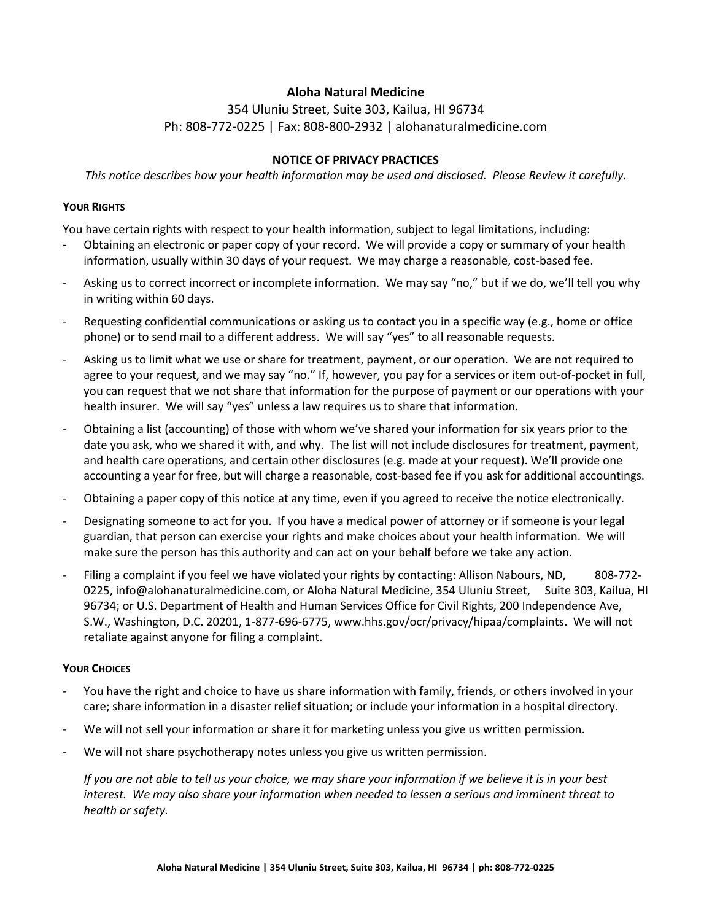# **Aloha Natural Medicine**

354 Uluniu Street, Suite 303, Kailua, HI 96734 Ph: 808-772-0225 | Fax: 808-800-2932 | alohanaturalmedicine.com

#### **NOTICE OF PRIVACY PRACTICES**

*This notice describes how your health information may be used and disclosed. Please Review it carefully.*

#### **YOUR RIGHTS**

You have certain rights with respect to your health information, subject to legal limitations, including:

- **-** Obtaining an electronic or paper copy of your record.We will provide a copy or summary of your health information, usually within 30 days of your request. We may charge a reasonable, cost-based fee.
- Asking us to correct incorrect or incomplete information. We may say "no," but if we do, we'll tell you why in writing within 60 days.
- Requesting confidential communications or asking us to contact you in a specific way (e.g., home or office phone) or to send mail to a different address. We will say "yes" to all reasonable requests.
- Asking us to limit what we use or share for treatment, payment, or our operation. We are not required to agree to your request, and we may say "no." If, however, you pay for a services or item out-of-pocket in full, you can request that we not share that information for the purpose of payment or our operations with your health insurer. We will say "yes" unless a law requires us to share that information.
- Obtaining a list (accounting) of those with whom we've shared your information for six years prior to the date you ask, who we shared it with, and why. The list will not include disclosures for treatment, payment, and health care operations, and certain other disclosures (e.g. made at your request). We'll provide one accounting a year for free, but will charge a reasonable, cost-based fee if you ask for additional accountings.
- Obtaining a paper copy of this notice at any time, even if you agreed to receive the notice electronically.
- Designating someone to act for you. If you have a medical power of attorney or if someone is your legal guardian, that person can exercise your rights and make choices about your health information. We will make sure the person has this authority and can act on your behalf before we take any action.
- Filing a complaint if you feel we have violated your rights by contacting: Allison Nabours, ND, 808-772-0225, info@alohanaturalmedicine.com, or Aloha Natural Medicine, 354 Uluniu Street, Suite 303, Kailua, HI 96734; or U.S. Department of Health and Human Services Office for Civil Rights, 200 Independence Ave, S.W., Washington, D.C. 20201, 1-877-696-6775, www.hhs.gov/ocr/privacy/hipaa/complaints. We will not retaliate against anyone for filing a complaint.

## **YOUR CHOICES**

- You have the right and choice to have us share information with family, friends, or others involved in your care; share information in a disaster relief situation; or include your information in a hospital directory.
- We will not sell your information or share it for marketing unless you give us written permission.
- We will not share psychotherapy notes unless you give us written permission.

*If you are not able to tell us your choice, we may share your information if we believe it is in your best interest. We may also share your information when needed to lessen a serious and imminent threat to health or safety.*